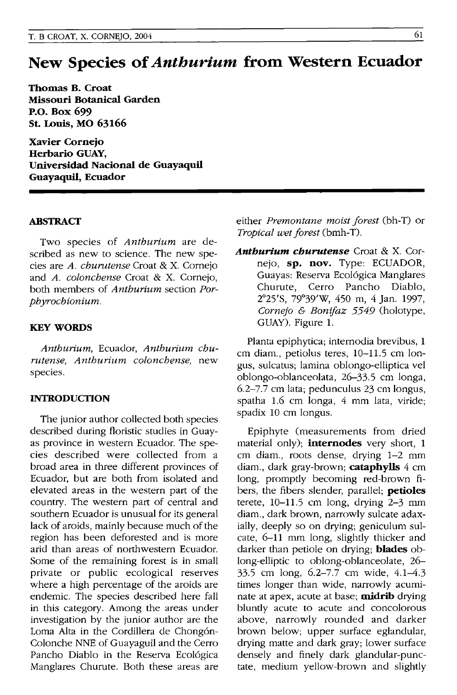## **New Species of** *Anthurium* **from Western Ecuador**

**Thomas B. Croat Missouri Botanical Garden P.O. Box 699 St. Louis, MO 63166** 

**Xavier Cornejo Herbario GUAY, Universidad Nacional de Guayaquil**  Guayaquil, Ecuador

## **ABSTRACT**

Two species of *Anthurium* are described as new to science. The new species are *A. churutense* Croat & X. Cornejo and *A. colonchense* Croat & X. Cornejo, both members of *Anthurium* section *Porphyrochionium.* 

## **KEYWORDS**

*Anthurium,* Ecuador, *Anthurium churutense, Anthurium colonchense,* new species.

## **INTRODUCTION**

The junior author collected both species described during floristic studies in Guayas province in western Ecuador. The species described were collected from a broad area in three different provinces of Ecuador, but are both from isolated and elevated areas in the western part of the country. The western part of central and southern Ecuador is unusual for its general lack of aroids, mainly because much of the region has been deforested and is more arid than areas of northwestern Ecuador. Some of the remaining forest is in small private or public ecological reserves where a high percentage of the aroids are endemic. The species described here fall in this category. Among the areas under investigation by the junior author are the Loma Alta in the Cordillera de Chongón-Colonche NNE of Guayaguil and the Cerro Pancho Diablo in the Reserva Ecol6gica Manglares Churute. Both these areas are

either *Premontane moist forest* Cbh-T) or *Tropical wet forest* Cbmh-T).

*Anthurium churutense* Croat & X. Cornejo, **sp. nov.** Type: ECUADOR, Guayas: Reserva Ecol6gica Manglares Churute, Cerro Pancho Diablo, 2025'S, 79°39'W, 450 m, 4 Jan. 1997, *Cornejo & Bonifaz 5549* (holotype, GUAY). Figure 1.

Planta epiphytica; internodia brevibus, 1 cm diam., petiolus teres, 10-11.5 cm longus, sulcatus; lamina oblongo-elliptica vel oblongo-oblanceolata, 26-33.5 cm longa, 6.2-7.7 cm lata; pedunculus 23 cm longus, spatha 1.6 cm longa, 4 mm lata, viride; spadix 10 cm longus.

Epiphyte (measurements from dried material only); **internodes** very short, 1 cm diam., roots dense, drying 1-2 mm diam., dark gray-brown; **cataphylls** 4 cm long, promptly becoming red-brown fibers, the fibers slender, parallel; **petioles**  terete, 10-11.5 cm long, drying 2-3 mm diam., dark brown, narrowly sulcate adaxially, deeply so on drying; geniculum sulcate, 6-11 mm long, slightly thicker and darker than petiole on drying; **blades** oblong-elliptic to oblong-oblanceolate, 26- 33.5 cm long, 6.2-7.7 cm wide, 4.1-4.3 times longer than wide, narrowly acuminate at apex, acute at base; **midrib** drying bluntly acute to acute and concolorous above, narrowly rounded and darker brown below; upper surface eglandular, drying matte and dark gray; lower surface densely and finely dark glandular-punctate, medium yellow-brown and slightly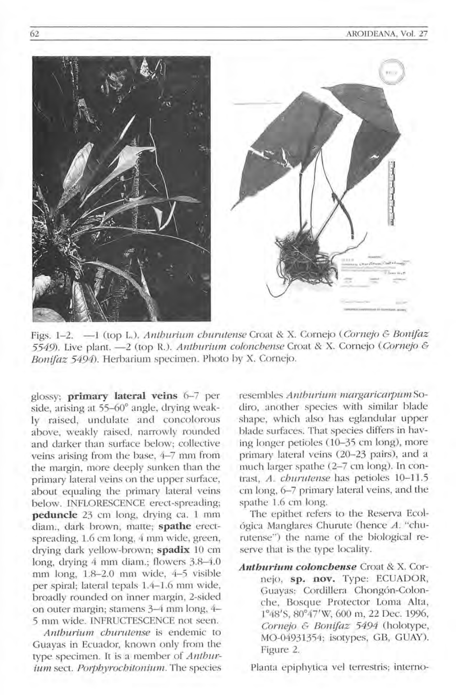

Figs. 1-2. -1 (top L.). *Anthurium churutense* Croat & X. Cornejo *(Cornejo & Bonifaz*) 5549). Live plant. -2 (top R.). *Antburium. coloncbense* Croat & X. Cornejo *(Cornejo* & Bonifaz 5494). Herbarium specimen. Photo by X. Cornejo.

glossy; **primary lateral veins** 6-7 per side, arising at 55-60° angle, drying weakly raised, undulate and concolorous above, weakly raised, narrowly rounded and darker than surface below; collective veins arising from the base, 4-7 mm from the margin, more deeply sunken than the primary lateral veins on the upper surface, about equaling the primary lateral veins below. INFLORESCENCE erect-spreading; **peduncle** 23 cm long, drying ca. 1 mm diam., dark brown, matte; spathe erectspreading, 1.6 cm long, 4 mm wide, green, drying dark yellow-brown; spadix 10 cm long, drying  $4 \text{ mm}$  diam.; flowers  $3.8-4.0$ mm long, 1.8-2.0 mm wide, 4-5 visible per spiral; lateral tepals 1.4-1.6 mm wide, broadly rounded on inner margin, 2-sided on outer margin; stamens 3-4 mm long, 4-5 mm wide . INFRUCTESCENCE not seen.

*Anthurium. cburutense* is endemic to Guayas in Ecuador, known only from the type specimen. It is a member of *Anthurium.* sect. *P01pbyrochitonium.* The species resembles *Anthurium margaricarpum* Sodiro, another species with similar blade shape, which also has eglandular upper blade surfaces. That species differs in having longer petioles (10-35 cm long), more primary lateral veins (20-23 pairs), and a much larger spathe (2-7 cm long). In contrast, *A. cburulense* has petioles 10-1 1.5 cm long, 6-7 primary lateral veins, and the spathe 1.6 cm long.

The epithet refers to the Reserva Ecológica Manglares Churute (hence *A.* "churutense") the name of the biological reserve that is the type locality.

*Anthurium colonchense* Croat & X. Corne jo, **sp. nov.** Type: ECUADOR, Guayas: Cordillera Chongón-Colonche, Bosque Protector Loma Alta, 1°48'S, 80°47'W, 600 m, 22 Dec. 1996, *Cornejo & Bonifaz* 5494 (holotype, MO-04931354; isotypes, GB, GUAY) Figure 2.

Planta epiphytica vel terrestris; interno-